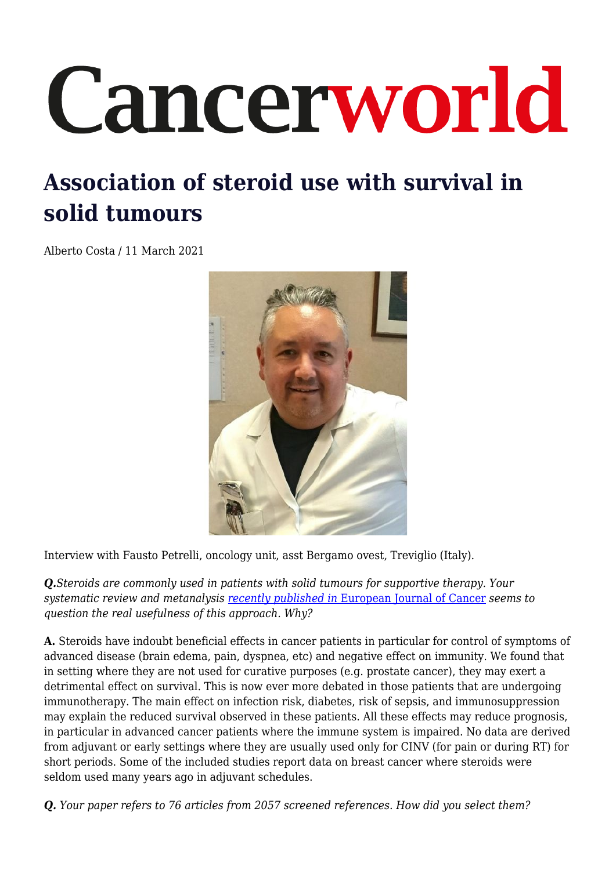# Cancerworld

# **Association of steroid use with survival in solid tumours**

Alberto Costa / 11 March 2021



Interview with Fausto Petrelli, oncology unit, asst Bergamo ovest, Treviglio (Italy).

*Q.Steroids are commonly used in patients with solid tumours for supportive therapy. Your systematic review and metanalysis [recently published in](https://pubmed.ncbi.nlm.nih.gov/33130548/)* [European Journal of Cancer](https://pubmed.ncbi.nlm.nih.gov/33130548/) *seems to question the real usefulness of this approach. Why?*

**A.** Steroids have indoubt beneficial effects in cancer patients in particular for control of symptoms of advanced disease (brain edema, pain, dyspnea, etc) and negative effect on immunity. We found that in setting where they are not used for curative purposes (e.g. prostate cancer), they may exert a detrimental effect on survival. This is now ever more debated in those patients that are undergoing immunotherapy. The main effect on infection risk, diabetes, risk of sepsis, and immunosuppression may explain the reduced survival observed in these patients. All these effects may reduce prognosis, in particular in advanced cancer patients where the immune system is impaired. No data are derived from adjuvant or early settings where they are usually used only for CINV (for pain or during RT) for short periods. Some of the included studies report data on breast cancer where steroids were seldom used many years ago in adjuvant schedules.

*Q. Your paper refers to 76 articles from 2057 screened references. How did you select them?*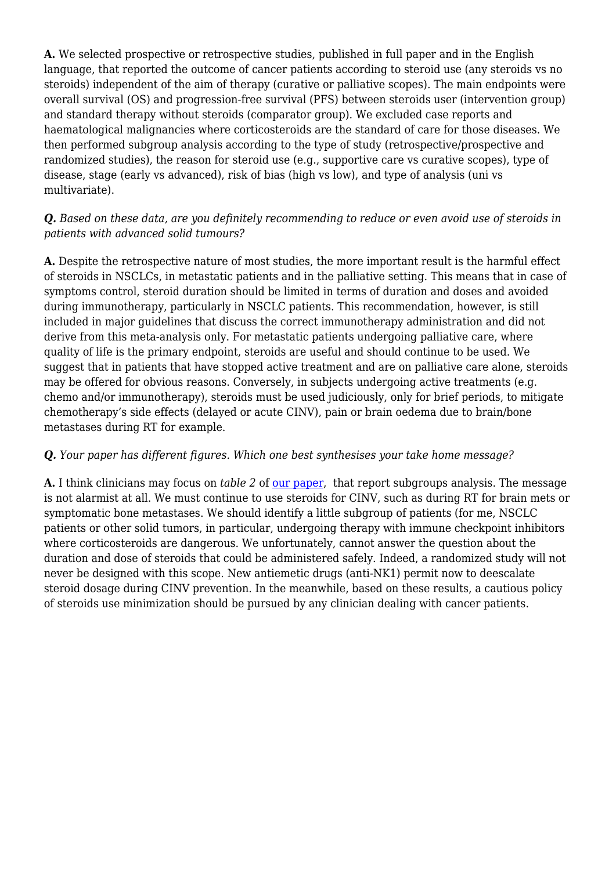**A.** We selected prospective or retrospective studies, published in full paper and in the English language, that reported the outcome of cancer patients according to steroid use (any steroids vs no steroids) independent of the aim of therapy (curative or palliative scopes). The main endpoints were overall survival (OS) and progression-free survival (PFS) between steroids user (intervention group) and standard therapy without steroids (comparator group). We excluded case reports and haematological malignancies where corticosteroids are the standard of care for those diseases. We then performed subgroup analysis according to the type of study (retrospective/prospective and randomized studies), the reason for steroid use (e.g., supportive care vs curative scopes), type of disease, stage (early vs advanced), risk of bias (high vs low), and type of analysis (uni vs multivariate).

#### *Q. Based on these data, are you definitely recommending to reduce or even avoid use of steroids in patients with advanced solid tumours?*

**A.** Despite the retrospective nature of most studies, the more important result is the harmful effect of steroids in NSCLCs, in metastatic patients and in the palliative setting. This means that in case of symptoms control, steroid duration should be limited in terms of duration and doses and avoided during immunotherapy, particularly in NSCLC patients. This recommendation, however, is still included in major guidelines that discuss the correct immunotherapy administration and did not derive from this meta-analysis only. For metastatic patients undergoing palliative care, where quality of life is the primary endpoint, steroids are useful and should continue to be used. We suggest that in patients that have stopped active treatment and are on palliative care alone, steroids may be offered for obvious reasons. Conversely, in subjects undergoing active treatments (e.g. chemo and/or immunotherapy), steroids must be used judiciously, only for brief periods, to mitigate chemotherapy's side effects (delayed or acute CINV), pain or brain oedema due to brain/bone metastases during RT for example.

#### *Q. Your paper has different figures. Which one best synthesises your take home message?*

**A.** I think clinicians may focus on *table 2* of [our paper,](https://pubmed.ncbi.nlm.nih.gov/33130548/) that report subgroups analysis. The message is not alarmist at all. We must continue to use steroids for CINV, such as during RT for brain mets or symptomatic bone metastases. We should identify a little subgroup of patients (for me, NSCLC patients or other solid tumors, in particular, undergoing therapy with immune checkpoint inhibitors where corticosteroids are dangerous. We unfortunately, cannot answer the question about the duration and dose of steroids that could be administered safely. Indeed, a randomized study will not never be designed with this scope. New antiemetic drugs (anti-NK1) permit now to deescalate steroid dosage during CINV prevention. In the meanwhile, based on these results, a cautious policy of steroids use minimization should be pursued by any clinician dealing with cancer patients.